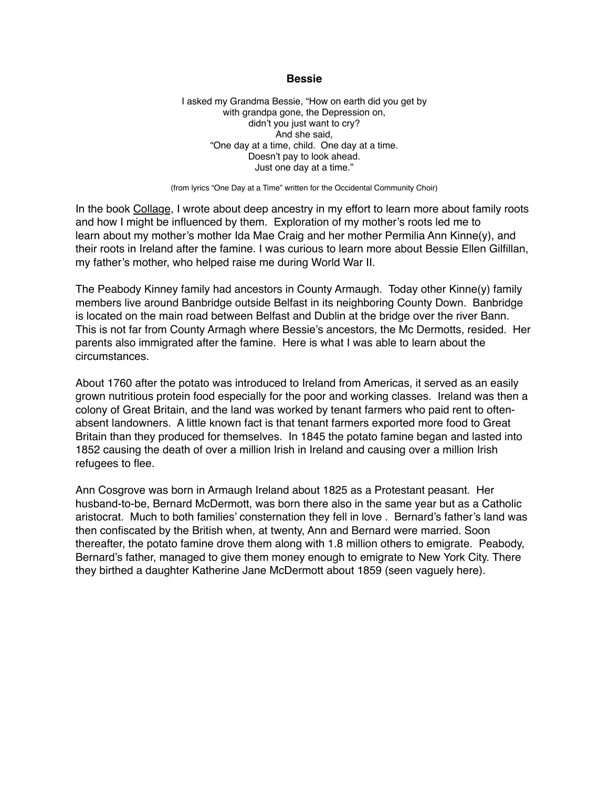## **Bessie**

I asked my Grandma Bessie, "How on earth did you get by with grandpa gone, the Depression on, didn't you just want to cry? And she said, "One day at a time, child. One day at a time. Doesn't pay to look ahead. Just one day at a time."

(from lyrics "One Day at a Time" written for the Occidental Community Choir)

In the book Collage, I wrote about deep ancestry in my effort to learn more about family roots and how I might be influenced by them. Exploration of my mother's roots led me to learn about my mother's mother Ida Mae Craig and her mother Permilia Ann Kinne(y), and their roots in Ireland after the famine. I was curious to learn more about Bessie Ellen Gilfillan, my father's mother, who helped raise me during World War II.

The Peabody Kinney family had ancestors in County Armaugh. Today other Kinne(y) family members live around Banbridge outside Belfast in its neighboring County Down. Banbridge is located on the main road between Belfast and Dublin at the bridge over the river Bann. This is not far from County Armagh where Bessie's ancestors, the Mc Dermotts, resided. Her parents also immigrated after the famine. Here is what I was able to learn about the circumstances.

About 1760 after the potato was introduced to Ireland from Americas, it served as an easily grown nutritious protein food especially for the poor and working classes. Ireland was then a colony of Great Britain, and the land was worked by tenant farmers who paid rent to oftenabsent landowners. A little known fact is that tenant farmers exported more food to Great Britain than they produced for themselves. In 1845 the potato famine began and lasted into 1852 causing the death of over a million Irish in Ireland and causing over a million Irish refugees to flee.

Ann Cosgrove was born in Armaugh Ireland about 1825 as a Protestant peasant. Her husband-to-be, Bernard McDermott, was born there also in the same year but as a Catholic aristocrat. Much to both families' consternation they fell in love . Bernard's father's land was then confiscated by the British when, at twenty, Ann and Bernard were married. Soon thereafter, the potato famine drove them along with 1.8 million others to emigrate. Peabody, Bernard's father, managed to give them money enough to emigrate to New York City. There they birthed a daughter Katherine Jane McDermott about 1859 (seen vaguely here).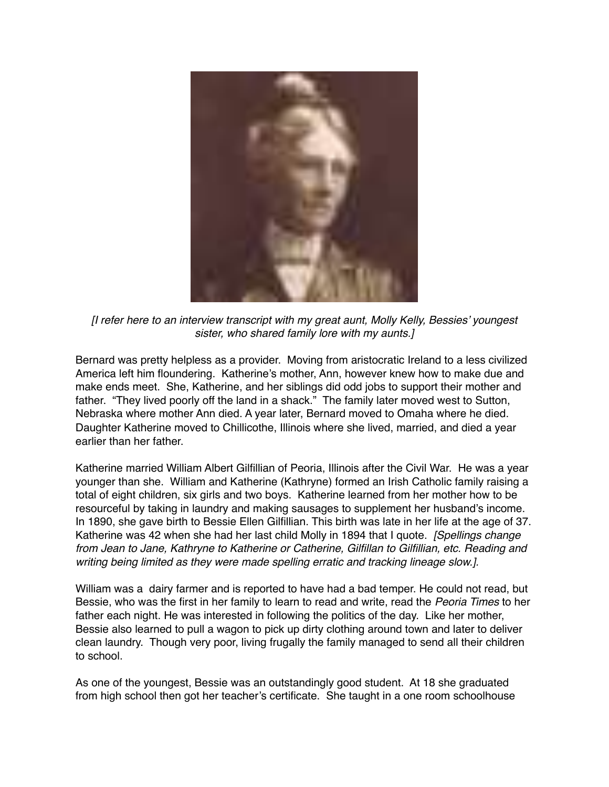

*[I refer here to an interview transcript with my great aunt, Molly Kelly, Bessies' youngest sister, who shared family lore with my aunts.]*

Bernard was pretty helpless as a provider. Moving from aristocratic Ireland to a less civilized America left him floundering. Katherine's mother, Ann, however knew how to make due and make ends meet. She, Katherine, and her siblings did odd jobs to support their mother and father. "They lived poorly off the land in a shack." The family later moved west to Sutton, Nebraska where mother Ann died. A year later, Bernard moved to Omaha where he died. Daughter Katherine moved to Chillicothe, Illinois where she lived, married, and died a year earlier than her father.

Katherine married William Albert Gilfillian of Peoria, Illinois after the Civil War. He was a year younger than she. William and Katherine (Kathryne) formed an Irish Catholic family raising a total of eight children, six girls and two boys. Katherine learned from her mother how to be resourceful by taking in laundry and making sausages to supplement her husband's income. In 1890, she gave birth to Bessie Ellen Gilfillian. This birth was late in her life at the age of 37. Katherine was 42 when she had her last child Molly in 1894 that I quote. *[Spellings change from Jean to Jane, Kathryne to Katherine or Catherine, Gilfillan to Gilfillian, etc. Reading and writing being limited as they were made spelling erratic and tracking lineage slow.].*

William was a dairy farmer and is reported to have had a bad temper. He could not read, but Bessie, who was the first in her family to learn to read and write, read the *Peoria Times* to her father each night. He was interested in following the politics of the day. Like her mother, Bessie also learned to pull a wagon to pick up dirty clothing around town and later to deliver clean laundry. Though very poor, living frugally the family managed to send all their children to school.

As one of the youngest, Bessie was an outstandingly good student. At 18 she graduated from high school then got her teacher's certificate. She taught in a one room schoolhouse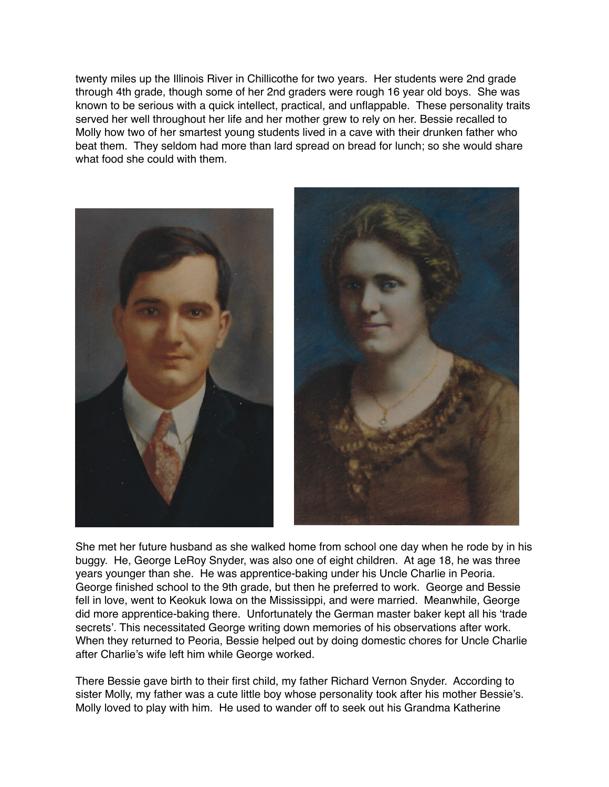twenty miles up the Illinois River in Chillicothe for two years. Her students were 2nd grade through 4th grade, though some of her 2nd graders were rough 16 year old boys. She was known to be serious with a quick intellect, practical, and unflappable. These personality traits served her well throughout her life and her mother grew to rely on her. Bessie recalled to Molly how two of her smartest young students lived in a cave with their drunken father who beat them. They seldom had more than lard spread on bread for lunch; so she would share what food she could with them.





She met her future husband as she walked home from school one day when he rode by in his buggy. He, George LeRoy Snyder, was also one of eight children. At age 18, he was three years younger than she. He was apprentice-baking under his Uncle Charlie in Peoria. George finished school to the 9th grade, but then he preferred to work. George and Bessie fell in love, went to Keokuk Iowa on the Mississippi, and were married. Meanwhile, George did more apprentice-baking there. Unfortunately the German master baker kept all his 'trade secrets'. This necessitated George writing down memories of his observations after work. When they returned to Peoria, Bessie helped out by doing domestic chores for Uncle Charlie after Charlie's wife left him while George worked.

There Bessie gave birth to their first child, my father Richard Vernon Snyder. According to sister Molly, my father was a cute little boy whose personality took after his mother Bessie's. Molly loved to play with him. He used to wander off to seek out his Grandma Katherine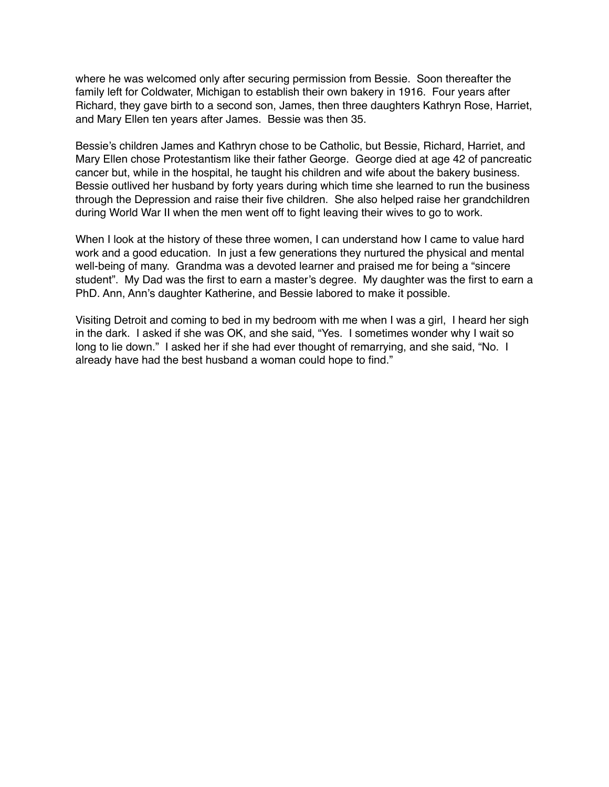where he was welcomed only after securing permission from Bessie. Soon thereafter the family left for Coldwater, Michigan to establish their own bakery in 1916. Four years after Richard, they gave birth to a second son, James, then three daughters Kathryn Rose, Harriet, and Mary Ellen ten years after James. Bessie was then 35.

Bessie's children James and Kathryn chose to be Catholic, but Bessie, Richard, Harriet, and Mary Ellen chose Protestantism like their father George. George died at age 42 of pancreatic cancer but, while in the hospital, he taught his children and wife about the bakery business. Bessie outlived her husband by forty years during which time she learned to run the business through the Depression and raise their five children. She also helped raise her grandchildren during World War II when the men went off to fight leaving their wives to go to work.

When I look at the history of these three women, I can understand how I came to value hard work and a good education. In just a few generations they nurtured the physical and mental well-being of many. Grandma was a devoted learner and praised me for being a "sincere student". My Dad was the first to earn a master's degree. My daughter was the first to earn a PhD. Ann, Ann's daughter Katherine, and Bessie labored to make it possible.

Visiting Detroit and coming to bed in my bedroom with me when I was a girl, I heard her sigh in the dark. I asked if she was OK, and she said, "Yes. I sometimes wonder why I wait so long to lie down." I asked her if she had ever thought of remarrying, and she said, "No. I already have had the best husband a woman could hope to find."